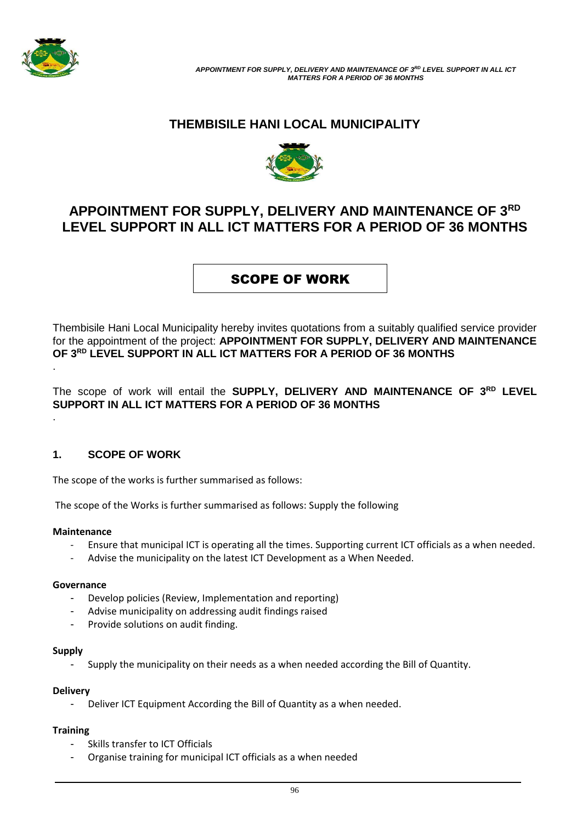

# **THEMBISILE HANI LOCAL MUNICIPALITY**



# **APPOINTMENT FOR SUPPLY, DELIVERY AND MAINTENANCE OF 3RD LEVEL SUPPORT IN ALL ICT MATTERS FOR A PERIOD OF 36 MONTHS**

# SCOPE OF WORK

Thembisile Hani Local Municipality hereby invites quotations from a suitably qualified service provider for the appointment of the project: **APPOINTMENT FOR SUPPLY, DELIVERY AND MAINTENANCE OF 3RD LEVEL SUPPORT IN ALL ICT MATTERS FOR A PERIOD OF 36 MONTHS** .

The scope of work will entail the **SUPPLY, DELIVERY AND MAINTENANCE OF 3RD LEVEL SUPPORT IN ALL ICT MATTERS FOR A PERIOD OF 36 MONTHS** .

# **1. SCOPE OF WORK**

The scope of the works is further summarised as follows:

The scope of the Works is further summarised as follows: Supply the following

# **Maintenance**

- Ensure that municipal ICT is operating all the times. Supporting current ICT officials as a when needed.
- Advise the municipality on the latest ICT Development as a When Needed.

# **Governance**

- Develop policies (Review, Implementation and reporting)
- Advise municipality on addressing audit findings raised
- Provide solutions on audit finding.

### **Supply**

Supply the municipality on their needs as a when needed according the Bill of Quantity.

# **Delivery**

Deliver ICT Equipment According the Bill of Quantity as a when needed.

# **Training**

- Skills transfer to ICT Officials
- Organise training for municipal ICT officials as a when needed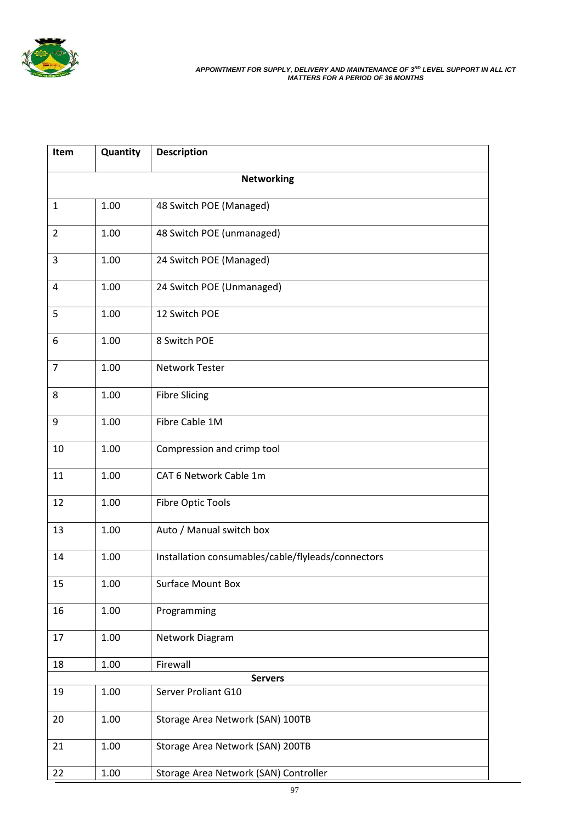

*APPOINTMENT FOR SUPPLY, DELIVERY AND MAINTENANCE OF 3RD LEVEL SUPPORT IN ALL ICT MATTERS FOR A PERIOD OF 36 MONTHS*

| Item              | Quantity | <b>Description</b>                                 |  |  |
|-------------------|----------|----------------------------------------------------|--|--|
| <b>Networking</b> |          |                                                    |  |  |
| $\mathbf{1}$      | 1.00     | 48 Switch POE (Managed)                            |  |  |
| $\overline{2}$    | 1.00     | 48 Switch POE (unmanaged)                          |  |  |
| 3                 | 1.00     | 24 Switch POE (Managed)                            |  |  |
| 4                 | 1.00     | 24 Switch POE (Unmanaged)                          |  |  |
| 5                 | 1.00     | 12 Switch POE                                      |  |  |
| 6                 | 1.00     | 8 Switch POE                                       |  |  |
| $\overline{7}$    | 1.00     | Network Tester                                     |  |  |
| 8                 | 1.00     | <b>Fibre Slicing</b>                               |  |  |
| 9                 | 1.00     | Fibre Cable 1M                                     |  |  |
| 10                | 1.00     | Compression and crimp tool                         |  |  |
| 11                | 1.00     | CAT 6 Network Cable 1m                             |  |  |
| 12                | 1.00     | <b>Fibre Optic Tools</b>                           |  |  |
| 13                | 1.00     | Auto / Manual switch box                           |  |  |
| 14                | 1.00     | Installation consumables/cable/flyleads/connectors |  |  |
| 15                | 1.00     | <b>Surface Mount Box</b>                           |  |  |
| 16                | 1.00     | Programming                                        |  |  |
| 17                | 1.00     | Network Diagram                                    |  |  |
| 18                | 1.00     | Firewall                                           |  |  |
|                   |          | <b>Servers</b>                                     |  |  |
| 19                | 1.00     | Server Proliant G10                                |  |  |
| 20                | 1.00     | Storage Area Network (SAN) 100TB                   |  |  |
| 21                | 1.00     | Storage Area Network (SAN) 200TB                   |  |  |
| 22                | 1.00     | Storage Area Network (SAN) Controller              |  |  |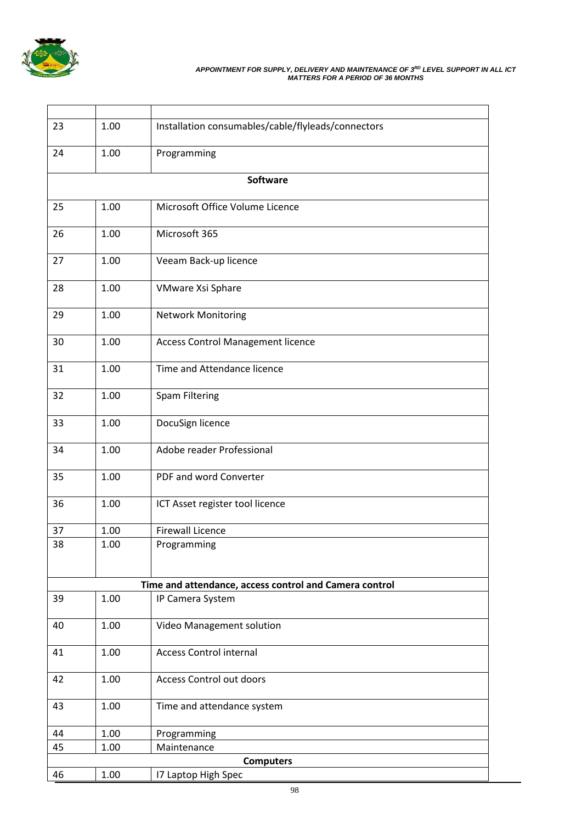

#### *APPOINTMENT FOR SUPPLY, DELIVERY AND MAINTENANCE OF 3RD LEVEL SUPPORT IN ALL ICT MATTERS FOR A PERIOD OF 36 MONTHS*

| 23               | 1.00     | Installation consumables/cable/flyleads/connectors     |  |  |
|------------------|----------|--------------------------------------------------------|--|--|
|                  |          |                                                        |  |  |
| 24               | 1.00     | Programming                                            |  |  |
|                  |          |                                                        |  |  |
|                  |          | <b>Software</b>                                        |  |  |
| 25               | 1.00     | Microsoft Office Volume Licence                        |  |  |
|                  |          |                                                        |  |  |
| 26               | 1.00     | Microsoft 365                                          |  |  |
|                  |          |                                                        |  |  |
| 27               | 1.00     | Veeam Back-up licence                                  |  |  |
| 28               | 1.00     | VMware Xsi Sphare                                      |  |  |
|                  |          |                                                        |  |  |
| 29               | 1.00     | <b>Network Monitoring</b>                              |  |  |
|                  |          |                                                        |  |  |
| 30               | 1.00     | <b>Access Control Management licence</b>               |  |  |
| 31               | 1.00     | Time and Attendance licence                            |  |  |
|                  |          |                                                        |  |  |
| 32               | 1.00     | Spam Filtering                                         |  |  |
|                  |          |                                                        |  |  |
| 33               | 1.00     | DocuSign licence                                       |  |  |
| 34               | 1.00     | Adobe reader Professional                              |  |  |
|                  |          |                                                        |  |  |
| 35               | 1.00     | PDF and word Converter                                 |  |  |
|                  |          |                                                        |  |  |
| 36               | 1.00     | ICT Asset register tool licence                        |  |  |
| 37               | 1.00     | <b>Firewall Licence</b>                                |  |  |
| 38               | 1.00     | Programming                                            |  |  |
|                  |          |                                                        |  |  |
|                  |          |                                                        |  |  |
|                  |          | Time and attendance, access control and Camera control |  |  |
| 39               | 1.00     | IP Camera System                                       |  |  |
| 40               | 1.00     | Video Management solution                              |  |  |
|                  |          |                                                        |  |  |
| 41               | 1.00     | <b>Access Control internal</b>                         |  |  |
|                  |          |                                                        |  |  |
| 42               | 1.00     | Access Control out doors                               |  |  |
| 43               | 1.00     | Time and attendance system                             |  |  |
|                  |          |                                                        |  |  |
| 44               | 1.00     | Programming                                            |  |  |
| 45               | $1.00\,$ | Maintenance                                            |  |  |
| <b>Computers</b> |          |                                                        |  |  |
| 46               | 1.00     | 17 Laptop High Spec                                    |  |  |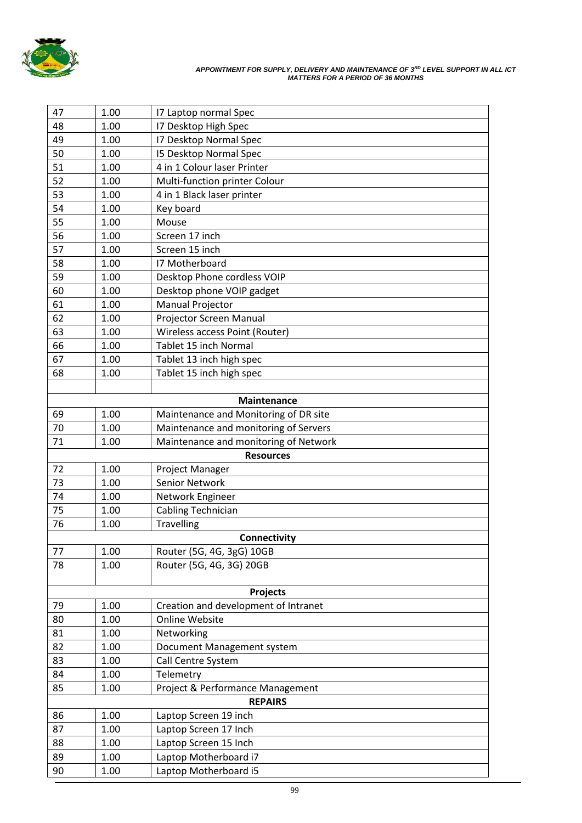

#### *APPOINTMENT FOR SUPPLY, DELIVERY AND MAINTENANCE OF 3RD LEVEL SUPPORT IN ALL ICT MATTERS FOR A PERIOD OF 36 MONTHS*

| 47                                  | 1.00 | 17 Laptop normal Spec                            |  |  |
|-------------------------------------|------|--------------------------------------------------|--|--|
| 48                                  | 1.00 | 17 Desktop High Spec                             |  |  |
| 49                                  | 1.00 | <b>17 Desktop Normal Spec</b>                    |  |  |
| 50                                  | 1.00 | <b>I5 Desktop Normal Spec</b>                    |  |  |
| 51                                  | 1.00 | 4 in 1 Colour laser Printer                      |  |  |
| 52                                  | 1.00 | Multi-function printer Colour                    |  |  |
| 53                                  | 1.00 | 4 in 1 Black laser printer                       |  |  |
| 54                                  | 1.00 | Key board                                        |  |  |
| 55                                  | 1.00 | Mouse                                            |  |  |
| 56                                  | 1.00 | Screen 17 inch                                   |  |  |
| 57                                  | 1.00 | Screen 15 inch                                   |  |  |
| 58                                  | 1.00 | 17 Motherboard                                   |  |  |
| 59                                  | 1.00 | Desktop Phone cordless VOIP                      |  |  |
| 60                                  | 1.00 | Desktop phone VOIP gadget                        |  |  |
| 61                                  | 1.00 | Manual Projector                                 |  |  |
| 62                                  | 1.00 | Projector Screen Manual                          |  |  |
| 63                                  | 1.00 | Wireless access Point (Router)                   |  |  |
| 66                                  | 1.00 | Tablet 15 inch Normal                            |  |  |
| 67                                  | 1.00 | Tablet 13 inch high spec                         |  |  |
| 68                                  | 1.00 | Tablet 15 inch high spec                         |  |  |
|                                     |      |                                                  |  |  |
|                                     |      | <b>Maintenance</b>                               |  |  |
| 69                                  | 1.00 | Maintenance and Monitoring of DR site            |  |  |
| 70                                  | 1.00 | Maintenance and monitoring of Servers            |  |  |
| 71                                  | 1.00 | Maintenance and monitoring of Network            |  |  |
|                                     |      | <b>Resources</b>                                 |  |  |
| 72                                  | 1.00 | Project Manager                                  |  |  |
| 73                                  | 1.00 | Senior Network                                   |  |  |
| 74                                  | 1.00 | Network Engineer                                 |  |  |
| 75                                  | 1.00 | Cabling Technician                               |  |  |
| 76                                  | 1.00 | <b>Travelling</b>                                |  |  |
|                                     |      | <b>Connectivity</b>                              |  |  |
| 77                                  | 1.00 | Router (5G, 4G, 3gG) 10GB                        |  |  |
| 78                                  | 1.00 | Router (5G, 4G, 3G) 20GB                         |  |  |
|                                     |      |                                                  |  |  |
| 79                                  | 1.00 | Projects<br>Creation and development of Intranet |  |  |
| 80                                  | 1.00 | Online Website                                   |  |  |
| 81                                  | 1.00 | Networking                                       |  |  |
| 82                                  | 1.00 | Document Management system                       |  |  |
| 83                                  | 1.00 | Call Centre System                               |  |  |
| 84                                  | 1.00 | Telemetry                                        |  |  |
| 85                                  | 1.00 | Project & Performance Management                 |  |  |
|                                     |      | <b>REPAIRS</b>                                   |  |  |
| 86<br>1.00<br>Laptop Screen 19 inch |      |                                                  |  |  |
| 87                                  | 1.00 | Laptop Screen 17 Inch                            |  |  |
| 88                                  | 1.00 | Laptop Screen 15 Inch                            |  |  |
| 89                                  | 1.00 | Laptop Motherboard i7                            |  |  |
| 90                                  | 1.00 | Laptop Motherboard i5                            |  |  |
|                                     |      |                                                  |  |  |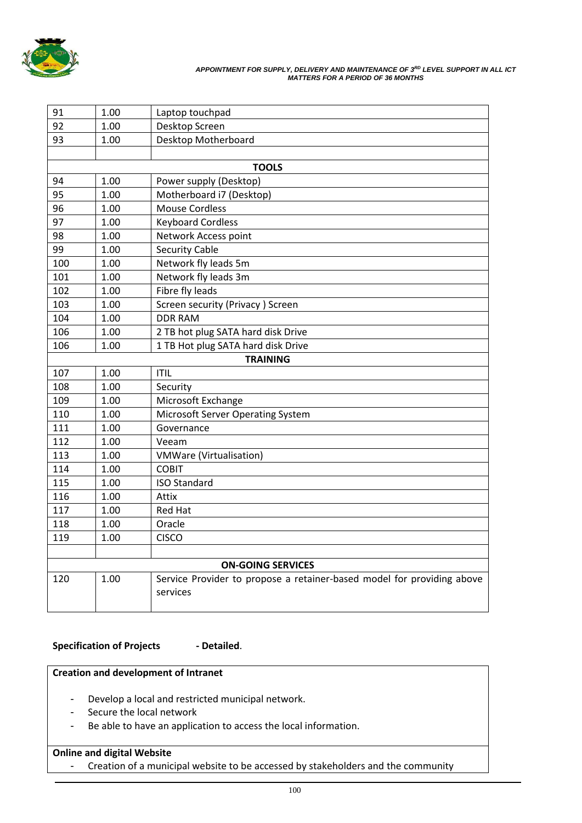

#### *APPOINTMENT FOR SUPPLY, DELIVERY AND MAINTENANCE OF 3RD LEVEL SUPPORT IN ALL ICT MATTERS FOR A PERIOD OF 36 MONTHS*

| 91  | 1.00                     | Laptop touchpad                                                                    |  |  |  |
|-----|--------------------------|------------------------------------------------------------------------------------|--|--|--|
| 92  | 1.00                     | Desktop Screen                                                                     |  |  |  |
| 93  | 1.00                     | Desktop Motherboard                                                                |  |  |  |
|     |                          |                                                                                    |  |  |  |
|     |                          | <b>TOOLS</b>                                                                       |  |  |  |
| 94  | 1.00                     | Power supply (Desktop)                                                             |  |  |  |
| 95  | 1.00                     | Motherboard i7 (Desktop)                                                           |  |  |  |
| 96  | 1.00                     | <b>Mouse Cordless</b>                                                              |  |  |  |
| 97  | 1.00                     | <b>Keyboard Cordless</b>                                                           |  |  |  |
| 98  | 1.00                     | Network Access point                                                               |  |  |  |
| 99  | 1.00                     | <b>Security Cable</b>                                                              |  |  |  |
| 100 | 1.00                     | Network fly leads 5m                                                               |  |  |  |
| 101 | 1.00                     | Network fly leads 3m                                                               |  |  |  |
| 102 | 1.00                     | Fibre fly leads                                                                    |  |  |  |
| 103 | 1.00                     | Screen security (Privacy) Screen                                                   |  |  |  |
| 104 | 1.00                     | <b>DDR RAM</b>                                                                     |  |  |  |
| 106 | 1.00                     | 2 TB hot plug SATA hard disk Drive                                                 |  |  |  |
| 106 | 1.00                     | 1 TB Hot plug SATA hard disk Drive                                                 |  |  |  |
|     |                          | <b>TRAINING</b>                                                                    |  |  |  |
| 107 | 1.00                     | <b>ITIL</b>                                                                        |  |  |  |
| 108 | 1.00                     | Security                                                                           |  |  |  |
| 109 | 1.00                     | Microsoft Exchange                                                                 |  |  |  |
| 110 | 1.00                     | <b>Microsoft Server Operating System</b>                                           |  |  |  |
| 111 | 1.00                     | Governance                                                                         |  |  |  |
| 112 | 1.00                     | Veeam                                                                              |  |  |  |
| 113 | 1.00                     | <b>VMWare (Virtualisation)</b>                                                     |  |  |  |
| 114 | 1.00                     | <b>COBIT</b>                                                                       |  |  |  |
| 115 | 1.00                     | <b>ISO Standard</b>                                                                |  |  |  |
| 116 | 1.00                     | Attix                                                                              |  |  |  |
| 117 | 1.00                     | <b>Red Hat</b>                                                                     |  |  |  |
| 118 | 1.00                     | Oracle                                                                             |  |  |  |
| 119 | 1.00                     | <b>CISCO</b>                                                                       |  |  |  |
|     |                          |                                                                                    |  |  |  |
|     | <b>ON-GOING SERVICES</b> |                                                                                    |  |  |  |
| 120 | 1.00                     | Service Provider to propose a retainer-based model for providing above<br>services |  |  |  |

# **Specification of Projects - Detailed**.

# **Creation and development of Intranet**

- Develop a local and restricted municipal network.
- Secure the local network
- Be able to have an application to access the local information.

# **Online and digital Website**

- Creation of a municipal website to be accessed by stakeholders and the community